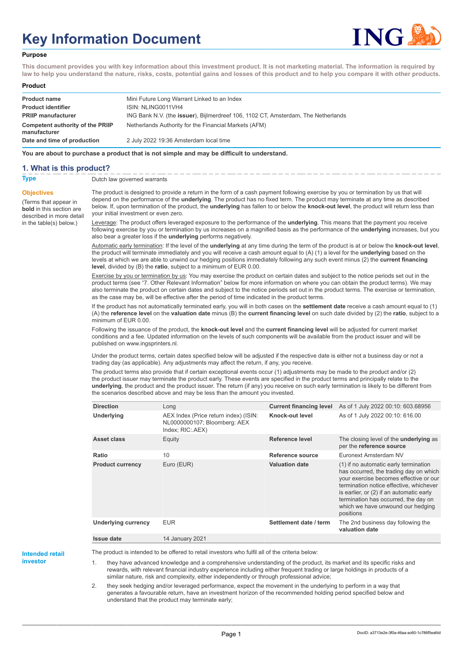# **Key Information Document**



#### **Purpose**

**This document provides you with key information about this investment product. It is not marketing material. The information is required by law to help you understand the nature, risks, costs, potential gains and losses of this product and to help you compare it with other products.**

#### **Product**

| <b>Product name</b><br><b>Product identifier</b> | Mini Future Long Warrant Linked to an Index<br>ISIN: NLING0011VH4                 |
|--------------------------------------------------|-----------------------------------------------------------------------------------|
| <b>PRIIP manufacturer</b>                        | ING Bank N.V. (the issuer), Bijlmerdreef 106, 1102 CT, Amsterdam, The Netherlands |
| Competent authority of the PRIIP<br>manufacturer | Netherlands Authority for the Financial Markets (AFM)                             |
| Date and time of production                      | 2 July 2022 19:36 Amsterdam local time                                            |

**You are about to purchase a product that is not simple and may be difficult to understand.**

#### **1. What is this product?**

**Objectives**

(Terms that appear in **bold** in this section are

in the table(s) below.)

**Type** Dutch law governed warrants

described in more detail The product is designed to provide a return in the form of a cash payment following exercise by you or termination by us that will depend on the performance of the **underlying**. The product has no fixed term. The product may terminate at any time as described below. If, upon termination of the product, the **underlying** has fallen to or below the **knock-out level**, the product will return less than your initial investment or even zero.

> Leverage: The product offers leveraged exposure to the performance of the **underlying**. This means that the payment you receive following exercise by you or termination by us increases on a magnified basis as the performance of the **underlying** increases, but you also bear a greater loss if the **underlying** performs negatively.

> Automatic early termination: If the level of the **underlying** at any time during the term of the product is at or below the **knock-out level**, the product will terminate immediately and you will receive a cash amount equal to (A) (1) a level for the **underlying** based on the levels at which we are able to unwind our hedging positions immediately following any such event minus (2) the **current financing level**, divided by (B) the **ratio**, subject to a minimum of EUR 0.00.

> Exercise by you or termination by us: You may exercise the product on certain dates and subject to the notice periods set out in the product terms (see "7. Other Relevant Information" below for more information on where you can obtain the product terms). We may also terminate the product on certain dates and subject to the notice periods set out in the product terms. The exercise or termination, as the case may be, will be effective after the period of time indicated in the product terms.

> If the product has not automatically terminated early, you will in both cases on the **settlement date** receive a cash amount equal to (1) (A) the **reference level** on the **valuation date** minus (B) the **current financing level** on such date divided by (2) the **ratio**, subject to a minimum of EUR 0.00.

Following the issuance of the product, the **knock-out level** and the **current financing level** will be adjusted for current market conditions and a fee. Updated information on the levels of such components will be available from the product issuer and will be published on www.ingsprinters.nl.

Under the product terms, certain dates specified below will be adjusted if the respective date is either not a business day or not a trading day (as applicable). Any adjustments may affect the return, if any, you receive.

The product terms also provide that if certain exceptional events occur (1) adjustments may be made to the product and/or (2) the product issuer may terminate the product early. These events are specified in the product terms and principally relate to the **underlying**, the product and the product issuer. The return (if any) you receive on such early termination is likely to be different from the scenarios described above and may be less than the amount you invested.

| <b>Direction</b>           | Long                                                                                      | <b>Current financing level</b> | As of 1 July 2022 00:10: 603.68956                                                                                                                                                                                                                                                                         |
|----------------------------|-------------------------------------------------------------------------------------------|--------------------------------|------------------------------------------------------------------------------------------------------------------------------------------------------------------------------------------------------------------------------------------------------------------------------------------------------------|
| Underlying                 | AEX Index (Price return index) (ISIN:<br>NL0000000107; Bloomberg: AEX<br>Index; RIC: AEX) | Knock-out level                | As of 1 July 2022 00:10: 616.00                                                                                                                                                                                                                                                                            |
| Asset class                | Equity                                                                                    | Reference level                | The closing level of the <b>underlying</b> as<br>per the reference source                                                                                                                                                                                                                                  |
| Ratio                      | 10                                                                                        | Reference source               | Euronext Amsterdam NV                                                                                                                                                                                                                                                                                      |
| <b>Product currency</b>    | Euro (EUR)                                                                                | <b>Valuation date</b>          | (1) if no automatic early termination<br>has occurred, the trading day on which<br>your exercise becomes effective or our<br>termination notice effective, whichever<br>is earlier, or (2) if an automatic early<br>termination has occurred, the day on<br>which we have unwound our hedging<br>positions |
| <b>Underlying currency</b> | <b>EUR</b>                                                                                | Settlement date / term         | The 2nd business day following the<br>valuation date                                                                                                                                                                                                                                                       |
| <b>Issue date</b>          | 14 January 2021                                                                           |                                |                                                                                                                                                                                                                                                                                                            |

**Intended retail**

**investor**

The product is intended to be offered to retail investors who fulfil all of the criteria below:

they have advanced knowledge and a comprehensive understanding of the product, its market and its specific risks and rewards, with relevant financial industry experience including either frequent trading or large holdings in products of a similar nature, risk and complexity, either independently or through professional advice;

2. they seek hedging and/or leveraged performance, expect the movement in the underlying to perform in a way that generates a favourable return, have an investment horizon of the recommended holding period specified below and understand that the product may terminate early;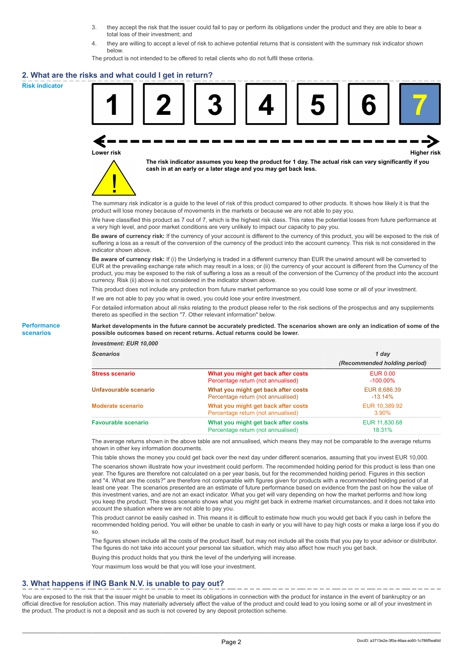- 3. they accept the risk that the issuer could fail to pay or perform its obligations under the product and they are able to bear a total loss of their investment; and
- 4. they are willing to accept a level of risk to achieve potential returns that is consistent with the summary risk indicator shown below.

The product is not intended to be offered to retail clients who do not fulfil these criteria.

#### **2. What are the risks and what could I get in return?**

**Risk indicator**

**Performance scenarios**





**The risk indicator assumes you keep the product for 1 day. The actual risk can vary significantly if you cash in at an early or a later stage and you may get back less.**

The summary risk indicator is a guide to the level of risk of this product compared to other products. It shows how likely it is that the product will lose money because of movements in the markets or because we are not able to pay you.

We have classified this product as 7 out of 7, which is the highest risk class. This rates the potential losses from future performance at a very high level, and poor market conditions are very unlikely to impact our capacity to pay you.

**Be aware of currency risk:** If the currency of your account is different to the currency of this product, you will be exposed to the risk of suffering a loss as a result of the conversion of the currency of the product into the account currency. This risk is not considered in the indicator shown above.

**Be aware of currency risk:** If (i) the Underlying is traded in a different currency than EUR the unwind amount will be converted to EUR at the prevailing exchange rate which may result in a loss; or (ii) the currency of your account is different from the Currency of the product, you may be exposed to the risk of suffering a loss as a result of the conversion of the Currency of the product into the account currency. Risk (ii) above is not considered in the indicator shown above.

This product does not include any protection from future market performance so you could lose some or all of your investment.

If we are not able to pay you what is owed, you could lose your entire investment.

For detailed information about all risks relating to the product please refer to the risk sections of the prospectus and any supplements thereto as specified in the section "7. Other relevant information" below.

#### **Market developments in the future cannot be accurately predicted. The scenarios shown are only an indication of some of the possible outcomes based on recent returns. Actual returns could be lower.**

*Investment: EUR 10,000*

| cenarios |  |  |
|----------|--|--|
|          |  |  |

| <b>Scenarios</b>           |                                                                           | 1 day                          |  |
|----------------------------|---------------------------------------------------------------------------|--------------------------------|--|
|                            |                                                                           | (Recommended holding period)   |  |
| Stress scenario            | What you might get back after costs<br>Percentage return (not annualised) | <b>EUR 0.00</b><br>$-100.00\%$ |  |
| Unfavourable scenario      | What you might get back after costs<br>Percentage return (not annualised) | EUR 8,686.39<br>$-13.14\%$     |  |
| <b>Moderate scenario</b>   | What you might get back after costs<br>Percentage return (not annualised) | EUR 10,389.92<br>$3.90\%$      |  |
| <b>Favourable scenario</b> | What you might get back after costs<br>Percentage return (not annualised) | EUR 11,830.68<br>18.31%        |  |

The average returns shown in the above table are not annualised, which means they may not be comparable to the average returns shown in other key information documents.

This table shows the money you could get back over the next day under different scenarios, assuming that you invest EUR 10,000.

The scenarios shown illustrate how your investment could perform. The recommended holding period for this product is less than one year. The figures are therefore not calculated on a per year basis, but for the recommended holding period. Figures in this section and "4. What are the costs?" are therefore not comparable with figures given for products with a recommended holding period of at least one year. The scenarios presented are an estimate of future performance based on evidence from the past on how the value of this investment varies, and are not an exact indicator. What you get will vary depending on how the market performs and how long you keep the product. The stress scenario shows what you might get back in extreme market circumstances, and it does not take into account the situation where we are not able to pay you.

This product cannot be easily cashed in. This means it is difficult to estimate how much you would get back if you cash in before the recommended holding period. You will either be unable to cash in early or you will have to pay high costs or make a large loss if you do so.

The figures shown include all the costs of the product itself, but may not include all the costs that you pay to your advisor or distributor. The figures do not take into account your personal tax situation, which may also affect how much you get back.

Buying this product holds that you think the level of the underlying will increase.

Your maximum loss would be that you will lose your investment.

## **3. What happens if ING Bank N.V. is unable to pay out?**

You are exposed to the risk that the issuer might be unable to meet its obligations in connection with the product for instance in the event of bankruptcy or an official directive for resolution action. This may materially adversely affect the value of the product and could lead to you losing some or all of your investment in the product. The product is not a deposit and as such is not covered by any deposit protection scheme.